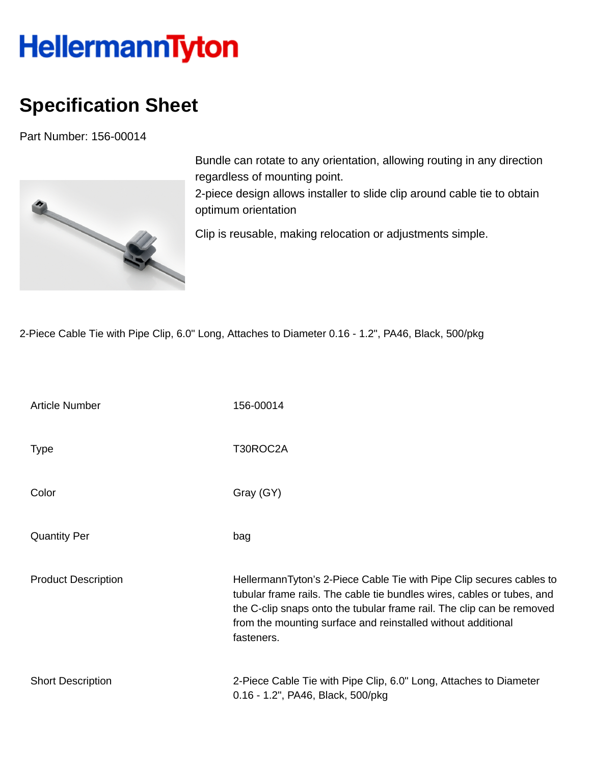## **HellermannTyton**

## **Specification Sheet**

Part Number: 156-00014



Bundle can rotate to any orientation, allowing routing in any direction regardless of mounting point. 2-piece design allows installer to slide clip around cable tie to obtain

optimum orientation

Clip is reusable, making relocation or adjustments simple.

2-Piece Cable Tie with Pipe Clip, 6.0" Long, Attaches to Diameter 0.16 - 1.2", PA46, Black, 500/pkg

| <b>Article Number</b>      | 156-00014                                                                                                                                                                                                                                                                                             |
|----------------------------|-------------------------------------------------------------------------------------------------------------------------------------------------------------------------------------------------------------------------------------------------------------------------------------------------------|
| <b>Type</b>                | T30ROC2A                                                                                                                                                                                                                                                                                              |
| Color                      | Gray (GY)                                                                                                                                                                                                                                                                                             |
| <b>Quantity Per</b>        | bag                                                                                                                                                                                                                                                                                                   |
| <b>Product Description</b> | HellermannTyton's 2-Piece Cable Tie with Pipe Clip secures cables to<br>tubular frame rails. The cable tie bundles wires, cables or tubes, and<br>the C-clip snaps onto the tubular frame rail. The clip can be removed<br>from the mounting surface and reinstalled without additional<br>fasteners. |
| <b>Short Description</b>   | 2-Piece Cable Tie with Pipe Clip, 6.0" Long, Attaches to Diameter<br>0.16 - 1.2", PA46, Black, 500/pkg                                                                                                                                                                                                |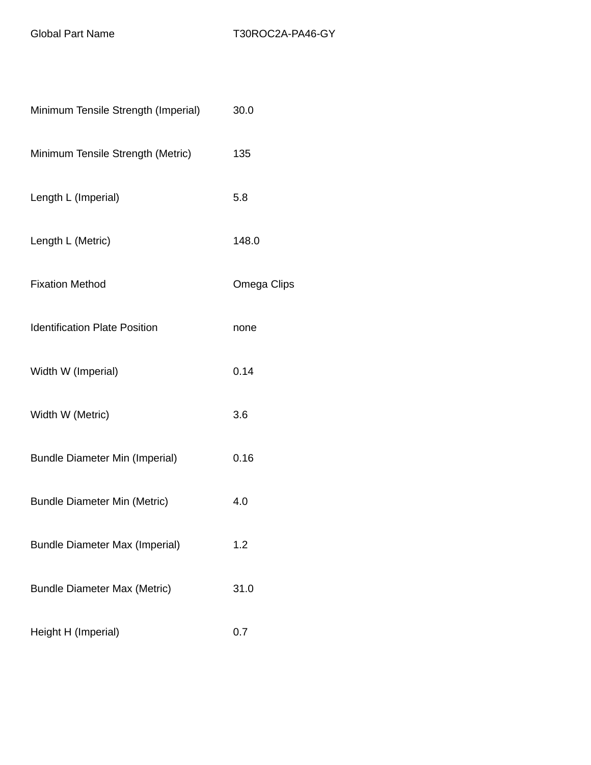| Minimum Tensile Strength (Imperial)   | 30.0        |
|---------------------------------------|-------------|
| Minimum Tensile Strength (Metric)     | 135         |
| Length L (Imperial)                   | 5.8         |
| Length L (Metric)                     | 148.0       |
| <b>Fixation Method</b>                | Omega Clips |
| <b>Identification Plate Position</b>  | none        |
| Width W (Imperial)                    | 0.14        |
| Width W (Metric)                      | 3.6         |
| <b>Bundle Diameter Min (Imperial)</b> | 0.16        |
| <b>Bundle Diameter Min (Metric)</b>   | 4.0         |
| <b>Bundle Diameter Max (Imperial)</b> | 1.2         |
| <b>Bundle Diameter Max (Metric)</b>   | 31.0        |
| Height H (Imperial)                   | 0.7         |